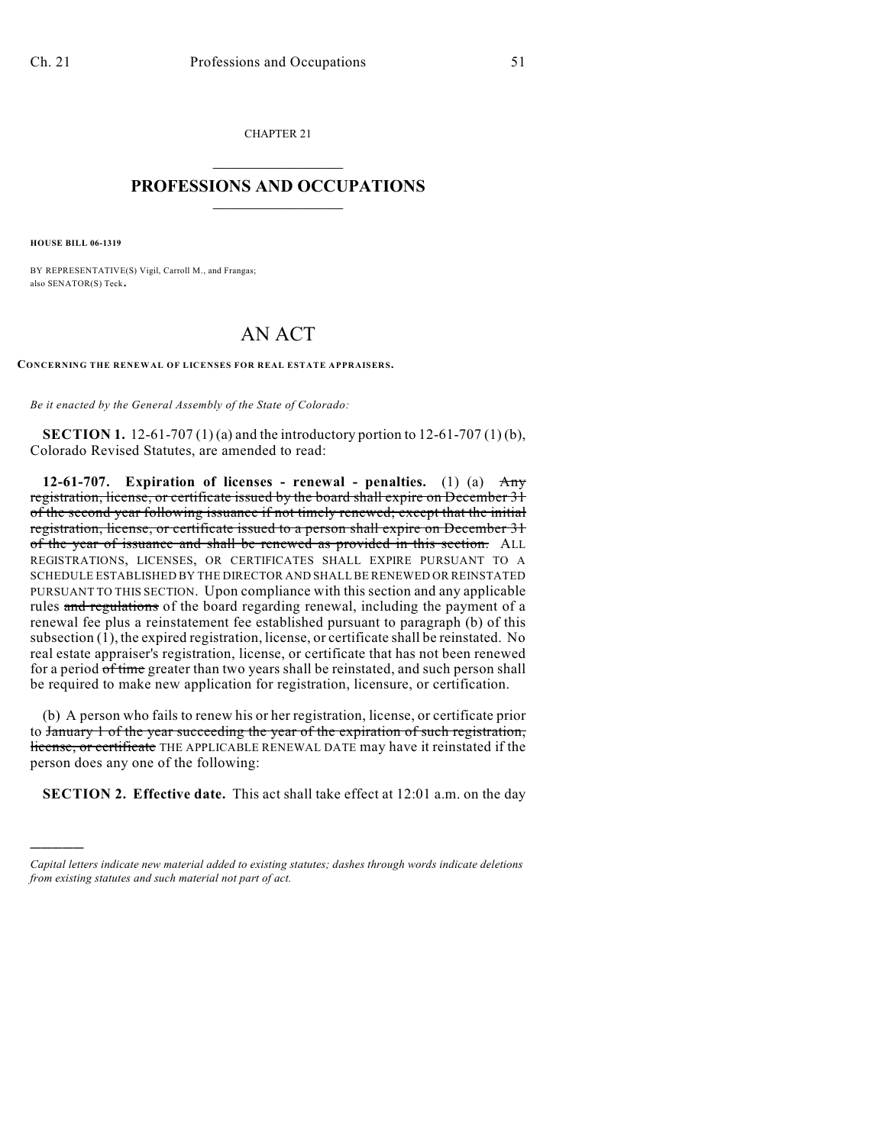CHAPTER 21  $\overline{\phantom{a}}$  . The set of the set of the set of the set of the set of the set of the set of the set of the set of the set of the set of the set of the set of the set of the set of the set of the set of the set of the set o

## **PROFESSIONS AND OCCUPATIONS**  $\frac{1}{2}$  ,  $\frac{1}{2}$  ,  $\frac{1}{2}$  ,  $\frac{1}{2}$  ,  $\frac{1}{2}$  ,  $\frac{1}{2}$

**HOUSE BILL 06-1319**

)))))

BY REPRESENTATIVE(S) Vigil, Carroll M., and Frangas; also SENATOR(S) Teck.

## AN ACT

**CONCERNING THE RENEWAL OF LICENSES FOR REAL ESTATE APPRAISERS.**

*Be it enacted by the General Assembly of the State of Colorado:*

**SECTION 1.** 12-61-707 (1) (a) and the introductory portion to 12-61-707 (1) (b), Colorado Revised Statutes, are amended to read:

**12-61-707. Expiration of licenses - renewal - penalties.** (1) (a) Any registration, license, or certificate issued by the board shall expire on December 31 of the second year following issuance if not timely renewed; except that the initial registration, license, or certificate issued to a person shall expire on December 31 of the year of issuance and shall be renewed as provided in this section. ALL REGISTRATIONS, LICENSES, OR CERTIFICATES SHALL EXPIRE PURSUANT TO A SCHEDULE ESTABLISHED BY THE DIRECTOR AND SHALL BE RENEWED OR REINSTATED PURSUANT TO THIS SECTION. Upon compliance with this section and any applicable rules and regulations of the board regarding renewal, including the payment of a renewal fee plus a reinstatement fee established pursuant to paragraph (b) of this subsection (1), the expired registration, license, or certificate shall be reinstated. No real estate appraiser's registration, license, or certificate that has not been renewed for a period of time greater than two years shall be reinstated, and such person shall be required to make new application for registration, licensure, or certification.

(b) A person who fails to renew his or her registration, license, or certificate prior to January 1 of the year succeeding the year of the expiration of such registration, license, or certificate THE APPLICABLE RENEWAL DATE may have it reinstated if the person does any one of the following:

**SECTION 2. Effective date.** This act shall take effect at 12:01 a.m. on the day

*Capital letters indicate new material added to existing statutes; dashes through words indicate deletions from existing statutes and such material not part of act.*